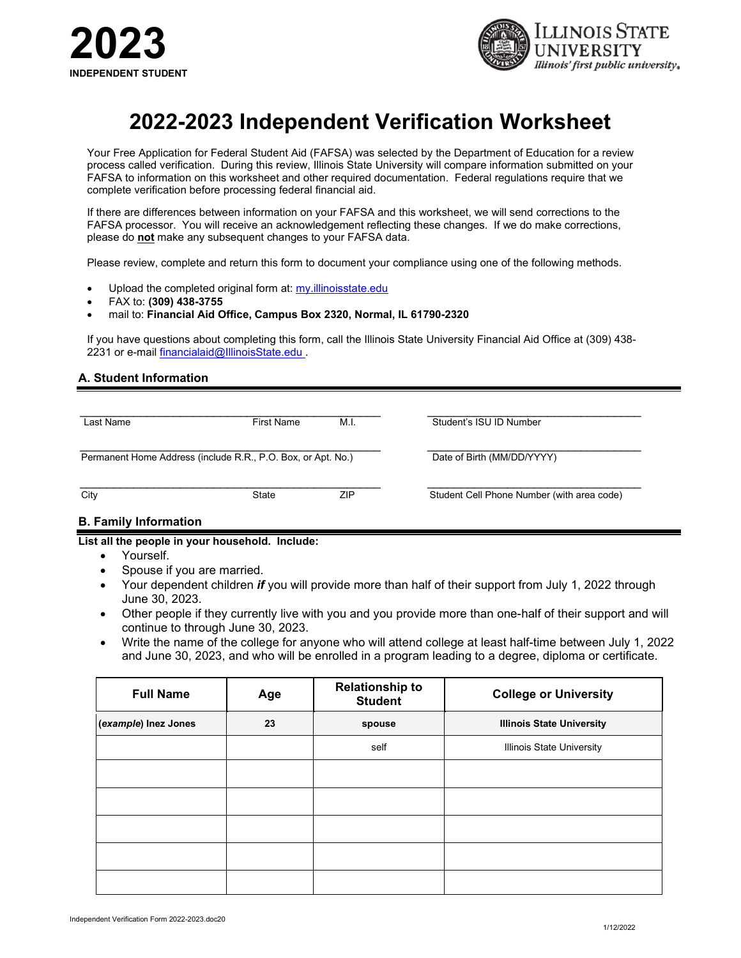



# **2022-2023 Independent Verification Worksheet**

Your Free Application for Federal Student Aid (FAFSA) was selected by the Department of Education for a review process called verification. During this review, Illinois State University will compare information submitted on your FAFSA to information on this worksheet and other required documentation. Federal regulations require that we complete verification before processing federal financial aid.

If there are differences between information on your FAFSA and this worksheet, we will send corrections to the FAFSA processor. You will receive an acknowledgement reflecting these changes. If we do make corrections, please do **not** make any subsequent changes to your FAFSA data.

Please review, complete and return this form to document your compliance using one of the following methods.

- Upload the completed original form at: my.illinoisstate.edu
- FAX to: **(309) 438-3755**
- mail to: **Financial Aid Office, Campus Box 2320, Normal, IL 61790-2320**

If you have questions about completing this form, call the Illinois State University Financial Aid Office at (309) 438 2231 or e-mail [financialaid@IllinoisState.edu](mailto:financialaid@IllinoisState.edu) .

### **A. Student Information**

| Last Name                                                    | First Name | M.I. | Student's ISU ID Number                    |
|--------------------------------------------------------------|------------|------|--------------------------------------------|
| Permanent Home Address (include R.R., P.O. Box, or Apt. No.) |            |      | Date of Birth (MM/DD/YYYY)                 |
| City                                                         | State      | ZIP  | Student Cell Phone Number (with area code) |

## **B. Family Information**

**List all the people in your household. Include:**

- Yourself.
- Spouse if you are married.
- Your dependent children *if* you will provide more than half of their support from July 1, 2022 through June 30, 2023.
- Other people if they currently live with you and you provide more than one-half of their support and will continue to through June 30, 2023.
- Write the name of the college for anyone who will attend college at least half-time between July 1, 2022 and June 30, 2023, and who will be enrolled in a program leading to a degree, diploma or certificate.

| <b>Full Name</b>     | Age | <b>Relationship to</b><br><b>Student</b> | <b>College or University</b>     |
|----------------------|-----|------------------------------------------|----------------------------------|
| (example) Inez Jones | 23  | spouse                                   | <b>Illinois State University</b> |
|                      |     | self                                     | <b>Illinois State University</b> |
|                      |     |                                          |                                  |
|                      |     |                                          |                                  |
|                      |     |                                          |                                  |
|                      |     |                                          |                                  |
|                      |     |                                          |                                  |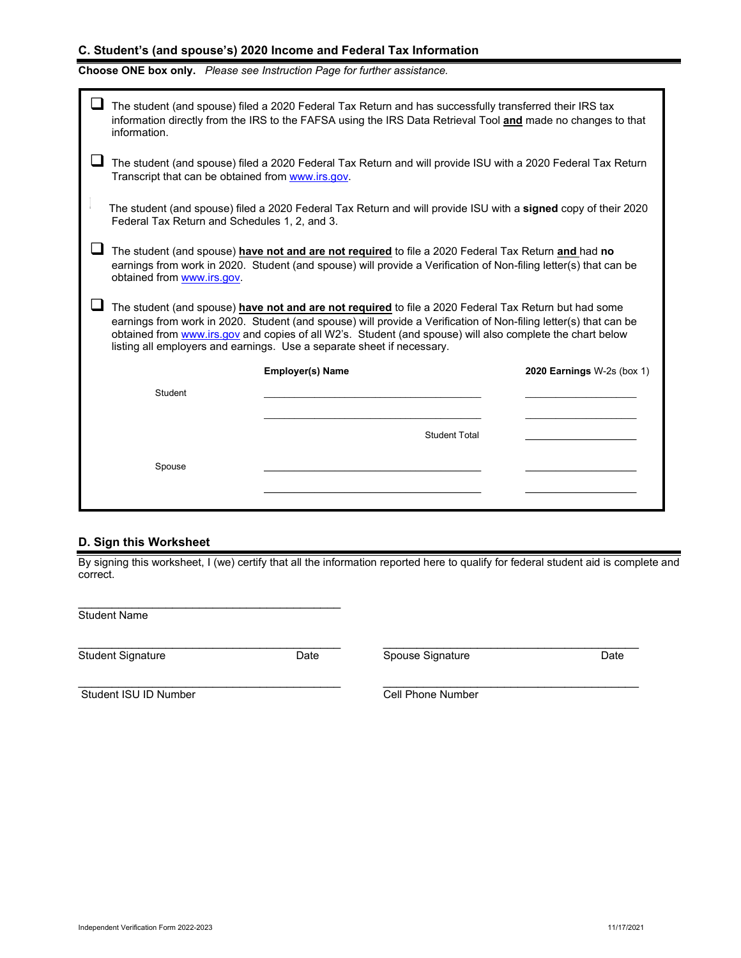## **C. Student's (and spouse's) 2020 Income and Federal Tax Information**

# **Choose ONE box only.** *Please see Instruction Page for further assistance.*

|                                                                                                                                                                                                                                                                                                                                                                                                                  | The student (and spouse) filed a 2020 Federal Tax Return and has successfully transferred their IRS tax<br>information directly from the IRS to the FAFSA using the IRS Data Retrieval Tool and made no changes to that<br>information.               |                         |                            |  |  |  |  |
|------------------------------------------------------------------------------------------------------------------------------------------------------------------------------------------------------------------------------------------------------------------------------------------------------------------------------------------------------------------------------------------------------------------|-------------------------------------------------------------------------------------------------------------------------------------------------------------------------------------------------------------------------------------------------------|-------------------------|----------------------------|--|--|--|--|
|                                                                                                                                                                                                                                                                                                                                                                                                                  | The student (and spouse) filed a 2020 Federal Tax Return and will provide ISU with a 2020 Federal Tax Return<br>Transcript that can be obtained from www.irs.gov.                                                                                     |                         |                            |  |  |  |  |
|                                                                                                                                                                                                                                                                                                                                                                                                                  | The student (and spouse) filed a 2020 Federal Tax Return and will provide ISU with a signed copy of their 2020<br>Federal Tax Return and Schedules 1, 2, and 3.                                                                                       |                         |                            |  |  |  |  |
|                                                                                                                                                                                                                                                                                                                                                                                                                  | The student (and spouse) have not and are not required to file a 2020 Federal Tax Return and had no<br>earnings from work in 2020. Student (and spouse) will provide a Verification of Non-filing letter(s) that can be<br>obtained from www.irs.gov. |                         |                            |  |  |  |  |
| The student (and spouse) have not and are not required to file a 2020 Federal Tax Return but had some<br>earnings from work in 2020. Student (and spouse) will provide a Verification of Non-filing letter(s) that can be<br>obtained from www.irs.gov and copies of all W2's. Student (and spouse) will also complete the chart below<br>listing all employers and earnings. Use a separate sheet if necessary. |                                                                                                                                                                                                                                                       |                         |                            |  |  |  |  |
|                                                                                                                                                                                                                                                                                                                                                                                                                  |                                                                                                                                                                                                                                                       | <b>Employer(s) Name</b> | 2020 Earnings W-2s (box 1) |  |  |  |  |
|                                                                                                                                                                                                                                                                                                                                                                                                                  | Student                                                                                                                                                                                                                                               |                         |                            |  |  |  |  |
|                                                                                                                                                                                                                                                                                                                                                                                                                  |                                                                                                                                                                                                                                                       |                         |                            |  |  |  |  |
|                                                                                                                                                                                                                                                                                                                                                                                                                  |                                                                                                                                                                                                                                                       | <b>Student Total</b>    |                            |  |  |  |  |
|                                                                                                                                                                                                                                                                                                                                                                                                                  | Spouse                                                                                                                                                                                                                                                |                         |                            |  |  |  |  |
|                                                                                                                                                                                                                                                                                                                                                                                                                  |                                                                                                                                                                                                                                                       |                         |                            |  |  |  |  |

#### **D. Sign this Worksheet**

By signing this worksheet, I (we) certify that all the information reported here to qualify for federal student aid is complete and correct.

\_\_\_\_\_\_\_\_\_\_\_\_\_\_\_\_\_\_\_\_\_\_\_\_\_\_\_\_\_\_\_\_\_\_\_\_\_\_\_ \_\_\_\_\_\_\_\_\_\_\_\_\_\_\_\_\_\_\_\_\_\_\_\_\_\_\_\_\_\_\_\_\_\_\_\_\_\_

\_\_\_\_\_\_\_\_\_\_\_\_\_\_\_\_\_\_\_\_\_\_\_\_\_\_\_\_\_\_\_\_\_\_\_\_\_\_\_ \_\_\_\_\_\_\_\_\_\_\_\_\_\_\_\_\_\_\_\_\_\_\_\_\_\_\_\_\_\_\_\_\_\_\_\_\_\_

\_\_\_\_\_\_\_\_\_\_\_\_\_\_\_\_\_\_\_\_\_\_\_\_\_\_\_\_\_\_\_\_\_\_\_\_\_\_\_ Student Name

Student Signature Date Date Spouse Signature Date Date

Student ISU ID Number Cell Phone Number